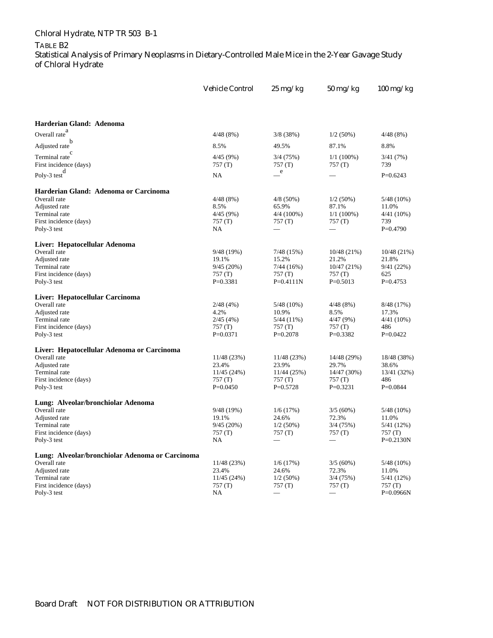## Chloral Hydrate, NTP TR 503 B-1

## TABLE B2

Statistical Analysis of Primary Neoplasms in Dietary-Controlled Male Mice in the 2-Year Gavage Study of Chloral Hydrate

|                                                 | <b>Vehicle Control</b> | $25 \text{ mg/kg}$    | 50 mg/kg                          | $100$ mg/kg           |
|-------------------------------------------------|------------------------|-----------------------|-----------------------------------|-----------------------|
|                                                 |                        |                       |                                   |                       |
| Harderian Gland: Adenoma                        |                        |                       |                                   |                       |
| Overall rate $^{a}$                             | 4/48 (8%)              | 3/8(38%)              | $1/2(50\%)$                       | 4/48(8%)              |
| Adjusted rate                                   | 8.5%                   | 49.5%                 | 87.1%                             | 8.8%                  |
| C<br>Terminal rate                              | 4/45 (9%)              | 3/4 (75%)             | $1/1(100\%)$                      | 3/41(7%)              |
| First incidence (days)                          | 757(T)                 | 757(T)                | 757(T)                            | 739                   |
| Poly-3 test $\frac{d}{dt}$                      | NA                     | e                     |                                   | $P=0.6243$            |
| Harderian Gland: Adenoma or Carcinoma           |                        |                       |                                   |                       |
| Overall rate                                    | 4/48 (8%)              | $4/8(50\%)$           | $1/2(50\%)$                       | $5/48(10\%)$          |
| Adjusted rate<br>Terminal rate                  | 8.5%<br>4/45 (9%)      | 65.9%<br>$4/4(100\%)$ | 87.1%<br>$1/1(100\%)$             | 11.0%<br>$4/41(10\%)$ |
| First incidence (days)                          | 757 (T)                | 757 (T)               | 757(T)                            | 739                   |
| Poly-3 test                                     | NA                     |                       |                                   | $P=0.4790$            |
| Liver: Hepatocellular Adenoma                   |                        |                       |                                   |                       |
| Overall rate                                    | 9/48 (19%)             | 7/48(15%)             | 10/48(21%)                        | 10/48(21%)            |
| Adjusted rate                                   | 19.1%                  | 15.2%                 | 21.2%                             | 21.8%                 |
| Terminal rate                                   | 9/45(20%)              | 7/44(16%)             | 10/47(21%)                        | 9/41(22%)             |
| First incidence (days)                          | 757 (T)                | 757(T)                | 757(T)                            | 625                   |
| Poly-3 test                                     | $P=0.3381$             | $P=0.4111N$           | $P=0.5013$                        | $P=0.4753$            |
| Liver: Hepatocellular Carcinoma                 |                        |                       |                                   |                       |
| Overall rate                                    | 2/48(4%)               | $5/48(10\%)$          | 4/48(8%)                          | 8/48 (17%)            |
| Adjusted rate                                   | 4.2%                   | 10.9%                 | 8.5%                              | 17.3%                 |
| Terminal rate                                   | 2/45(4%)               | 5/44 (11%)            | 4/47(9%)                          | $4/41(10\%)$          |
| First incidence (days)<br>Poly-3 test           | 757 (T)<br>$P=0.0371$  | 757 (T)<br>$P=0.2078$ | 757(T)<br>$P=0.3382$              | 486<br>$P=0.0422$     |
|                                                 |                        |                       |                                   |                       |
| Liver: Hepatocellular Adenoma or Carcinoma      |                        |                       |                                   |                       |
| Overall rate                                    | 11/48 (23%)            | 11/48 (23%)           | 14/48 (29%)                       | 18/48 (38%)           |
| Adjusted rate<br>Terminal rate                  | 23.4%                  | 23.9%<br>11/44 (25%)  | 29.7%<br>14/47 (30%)              | 38.6%<br>13/41 (32%)  |
| First incidence (days)                          | 11/45 (24%)<br>757 (T) | 757 (T)               | 757(T)                            | 486                   |
| Poly-3 test                                     | $P=0.0450$             | $P=0.5728$            | $P=0.3231$                        | $P=0.0844$            |
| Lung: Alveolar/bronchiolar Adenoma              |                        |                       |                                   |                       |
| Overall rate                                    | 9/48 (19%)             | 1/6(17%)              | 3/5(60%)                          | 5/48 (10%)            |
| Adjusted rate                                   | 19.1%                  | 24.6%                 | 72.3%                             | 11.0%                 |
| Terminal rate                                   | 9/45(20%)              | $1/2(50\%)$           | 3/4(75%)                          | 5/41 (12%)            |
| First incidence (days)                          | 757 (T)                | 757 (T)               | 757 (T)                           | 757(T)                |
| Poly-3 test                                     | NA                     |                       | $\overbrace{\phantom{123221111}}$ | $P=0.2130N$           |
| Lung: Alveolar/bronchiolar Adenoma or Carcinoma |                        |                       |                                   |                       |
| Overall rate                                    | 11/48 (23%)            | 1/6(17%)              | 3/5(60%)                          | $5/48(10\%)$          |
| Adjusted rate                                   | 23.4%                  | 24.6%                 | 72.3%                             | 11.0%                 |
| Terminal rate<br>First incidence (days)         | 11/45 (24%)<br>757 (T) | $1/2(50\%)$<br>757(T) | 3/4(75%)                          | 5/41 (12%)<br>757(T)  |
| Poly-3 test                                     | NA                     |                       | 757(T)                            | $P=0.0966N$           |
|                                                 |                        |                       |                                   |                       |